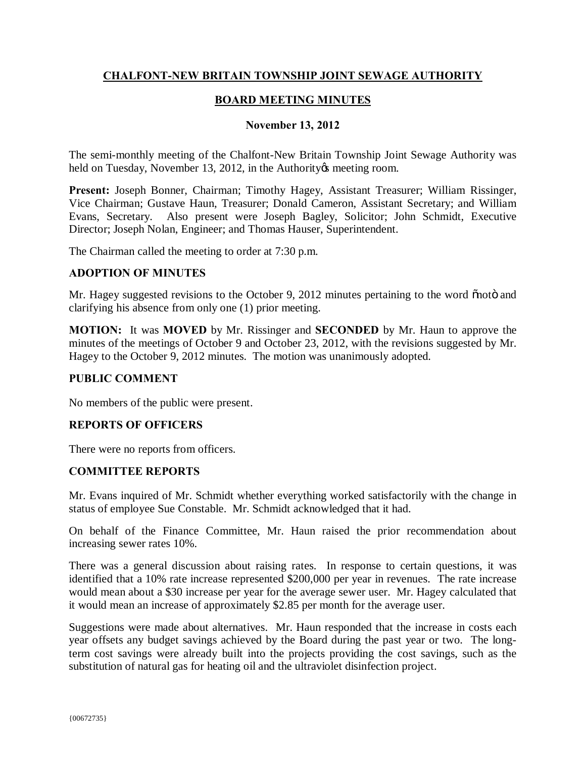## **CHALFONT-NEW BRITAIN TOWNSHIP JOINT SEWAGE AUTHORITY**

### **BOARD MEETING MINUTES**

### **November 13, 2012**

The semi-monthly meeting of the Chalfont-New Britain Township Joint Sewage Authority was held on Tuesday, November 13, 2012, in the Authority is meeting room.

**Present:** Joseph Bonner, Chairman; Timothy Hagey, Assistant Treasurer; William Rissinger, Vice Chairman; Gustave Haun, Treasurer; Donald Cameron, Assistant Secretary; and William Evans, Secretary. Also present were Joseph Bagley, Solicitor; John Schmidt, Executive Director; Joseph Nolan, Engineer; and Thomas Hauser, Superintendent.

The Chairman called the meeting to order at 7:30 p.m.

### **ADOPTION OF MINUTES**

Mr. Hagey suggested revisions to the October 9, 2012 minutes pertaining to the word onoto and clarifying his absence from only one (1) prior meeting.

**MOTION:** It was **MOVED** by Mr. Rissinger and **SECONDED** by Mr. Haun to approve the minutes of the meetings of October 9 and October 23, 2012, with the revisions suggested by Mr. Hagey to the October 9, 2012 minutes. The motion was unanimously adopted.

### **PUBLIC COMMENT**

No members of the public were present.

#### **REPORTS OF OFFICERS**

There were no reports from officers.

#### **COMMITTEE REPORTS**

Mr. Evans inquired of Mr. Schmidt whether everything worked satisfactorily with the change in status of employee Sue Constable. Mr. Schmidt acknowledged that it had.

On behalf of the Finance Committee, Mr. Haun raised the prior recommendation about increasing sewer rates 10%.

There was a general discussion about raising rates. In response to certain questions, it was identified that a 10% rate increase represented \$200,000 per year in revenues. The rate increase would mean about a \$30 increase per year for the average sewer user. Mr. Hagey calculated that it would mean an increase of approximately \$2.85 per month for the average user.

Suggestions were made about alternatives. Mr. Haun responded that the increase in costs each year offsets any budget savings achieved by the Board during the past year or two. The longterm cost savings were already built into the projects providing the cost savings, such as the substitution of natural gas for heating oil and the ultraviolet disinfection project.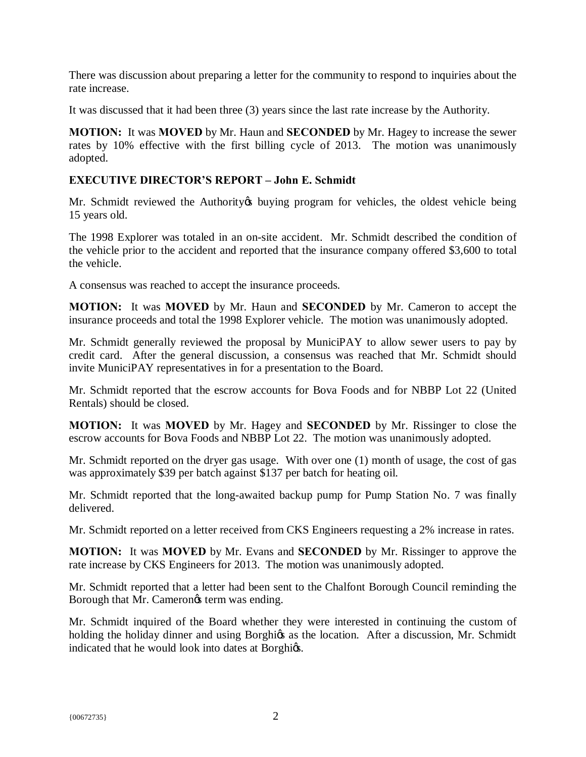There was discussion about preparing a letter for the community to respond to inquiries about the rate increase.

It was discussed that it had been three (3) years since the last rate increase by the Authority.

**MOTION:** It was **MOVED** by Mr. Haun and **SECONDED** by Mr. Hagey to increase the sewer rates by 10% effective with the first billing cycle of 2013. The motion was unanimously adopted.

# **EXECUTIVE DIRECTOR'S REPORT – John E. Schmidt**

Mr. Schmidt reviewed the Authority to buying program for vehicles, the oldest vehicle being 15 years old.

The 1998 Explorer was totaled in an on-site accident. Mr. Schmidt described the condition of the vehicle prior to the accident and reported that the insurance company offered \$3,600 to total the vehicle.

A consensus was reached to accept the insurance proceeds.

**MOTION:** It was **MOVED** by Mr. Haun and **SECONDED** by Mr. Cameron to accept the insurance proceeds and total the 1998 Explorer vehicle. The motion was unanimously adopted.

Mr. Schmidt generally reviewed the proposal by MuniciPAY to allow sewer users to pay by credit card. After the general discussion, a consensus was reached that Mr. Schmidt should invite MuniciPAY representatives in for a presentation to the Board.

Mr. Schmidt reported that the escrow accounts for Bova Foods and for NBBP Lot 22 (United Rentals) should be closed.

**MOTION:** It was **MOVED** by Mr. Hagey and **SECONDED** by Mr. Rissinger to close the escrow accounts for Bova Foods and NBBP Lot 22. The motion was unanimously adopted.

Mr. Schmidt reported on the dryer gas usage. With over one (1) month of usage, the cost of gas was approximately \$39 per batch against \$137 per batch for heating oil.

Mr. Schmidt reported that the long-awaited backup pump for Pump Station No. 7 was finally delivered.

Mr. Schmidt reported on a letter received from CKS Engineers requesting a 2% increase in rates.

**MOTION:** It was **MOVED** by Mr. Evans and **SECONDED** by Mr. Rissinger to approve the rate increase by CKS Engineers for 2013. The motion was unanimously adopted.

Mr. Schmidt reported that a letter had been sent to the Chalfont Borough Council reminding the Borough that Mr. Camerongs term was ending.

Mr. Schmidt inquired of the Board whether they were interested in continuing the custom of holding the holiday dinner and using Borghigs as the location. After a discussion, Mr. Schmidt indicated that he would look into dates at Borghigs.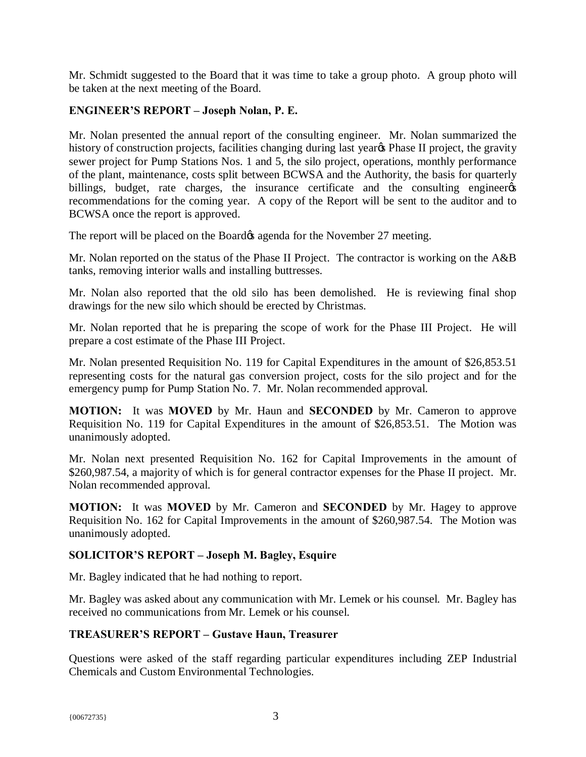Mr. Schmidt suggested to the Board that it was time to take a group photo. A group photo will be taken at the next meeting of the Board.

# **ENGINEER'S REPORT – Joseph Nolan, P. E.**

Mr. Nolan presented the annual report of the consulting engineer. Mr. Nolan summarized the history of construction projects, facilities changing during last year<sub><sup>os</sub></sup> Phase II project, the gravity</sub> sewer project for Pump Stations Nos. 1 and 5, the silo project, operations, monthly performance of the plant, maintenance, costs split between BCWSA and the Authority, the basis for quarterly billings, budget, rate charges, the insurance certificate and the consulting engineergs recommendations for the coming year. A copy of the Report will be sent to the auditor and to BCWSA once the report is approved.

The report will be placed on the Board & agenda for the November 27 meeting.

Mr. Nolan reported on the status of the Phase II Project. The contractor is working on the A&B tanks, removing interior walls and installing buttresses.

Mr. Nolan also reported that the old silo has been demolished. He is reviewing final shop drawings for the new silo which should be erected by Christmas.

Mr. Nolan reported that he is preparing the scope of work for the Phase III Project. He will prepare a cost estimate of the Phase III Project.

Mr. Nolan presented Requisition No. 119 for Capital Expenditures in the amount of \$26,853.51 representing costs for the natural gas conversion project, costs for the silo project and for the emergency pump for Pump Station No. 7. Mr. Nolan recommended approval.

**MOTION:** It was **MOVED** by Mr. Haun and **SECONDED** by Mr. Cameron to approve Requisition No. 119 for Capital Expenditures in the amount of \$26,853.51. The Motion was unanimously adopted.

Mr. Nolan next presented Requisition No. 162 for Capital Improvements in the amount of \$260,987.54, a majority of which is for general contractor expenses for the Phase II project. Mr. Nolan recommended approval.

**MOTION:** It was **MOVED** by Mr. Cameron and **SECONDED** by Mr. Hagey to approve Requisition No. 162 for Capital Improvements in the amount of \$260,987.54. The Motion was unanimously adopted.

# **SOLICITOR'S REPORT – Joseph M. Bagley, Esquire**

Mr. Bagley indicated that he had nothing to report.

Mr. Bagley was asked about any communication with Mr. Lemek or his counsel. Mr. Bagley has received no communications from Mr. Lemek or his counsel.

# **TREASURER'S REPORT – Gustave Haun, Treasurer**

Questions were asked of the staff regarding particular expenditures including ZEP Industrial Chemicals and Custom Environmental Technologies.